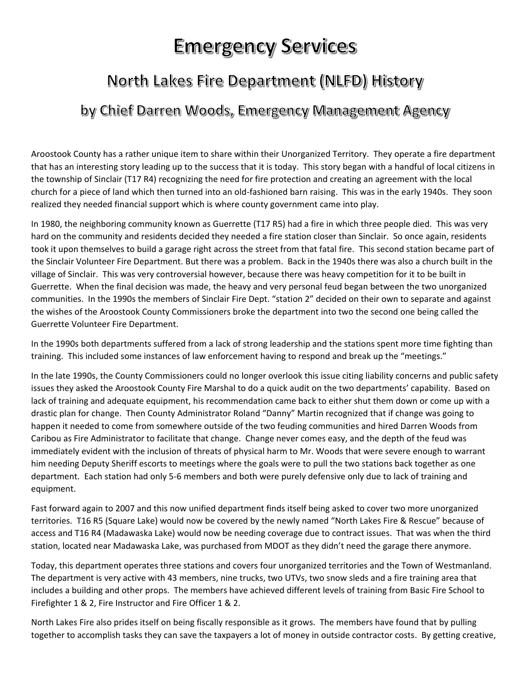## **Emergency Services**

## North Lakes Fire Department (NLFD) History

## by Chief Darren Woods, Emergency Management Agency

Aroostook County has a rather unique item to share within their Unorganized Territory. They operate a fire department that has an interesting story leading up to the success that it is today. This story began with a handful of local citizens in the township of Sinclair (T17 R4) recognizing the need for fire protection and creating an agreement with the local church for a piece of land which then turned into an old-fashioned barn raising. This was in the early 1940s. They soon realized they needed financial support which is where county government came into play.

In 1980, the neighboring community known as Guerrette (T17 R5) had a fire in which three people died. This was very hard on the community and residents decided they needed a fire station closer than Sinclair. So once again, residents took it upon themselves to build a garage right across the street from that fatal fire. This second station became part of the Sinclair Volunteer Fire Department. But there was a problem. Back in the 1940s there was also a church built in the village of Sinclair. This was very controversial however, because there was heavy competition for it to be built in Guerrette. When the final decision was made, the heavy and very personal feud began between the two unorganized communities. In the 1990s the members of Sinclair Fire Dept. "station 2" decided on their own to separate and against the wishes of the Aroostook County Commissioners broke the department into two the second one being called the Guerrette Volunteer Fire Department.

In the 1990s both departments suffered from a lack of strong leadership and the stations spent more time fighting than training. This included some instances of law enforcement having to respond and break up the "meetings."

In the late 1990s, the County Commissioners could no longer overlook this issue citing liability concerns and public safety issues they asked the Aroostook County Fire Marshal to do a quick audit on the two departments' capability. Based on lack of training and adequate equipment, his recommendation came back to either shut them down or come up with a drastic plan for change. Then County Administrator Roland "Danny" Martin recognized that if change was going to happen it needed to come from somewhere outside of the two feuding communities and hired Darren Woods from Caribou as Fire Administrator to facilitate that change. Change never comes easy, and the depth of the feud was immediately evident with the inclusion of threats of physical harm to Mr. Woods that were severe enough to warrant him needing Deputy Sheriff escorts to meetings where the goals were to pull the two stations back together as one department. Each station had only 5-6 members and both were purely defensive only due to lack of training and equipment.

Fast forward again to 2007 and this now unified department finds itself being asked to cover two more unorganized territories. T16 R5 (Square Lake) would now be covered by the newly named "North Lakes Fire & Rescue" because of access and T16 R4 (Madawaska Lake) would now be needing coverage due to contract issues. That was when the third station, located near Madawaska Lake, was purchased from MDOT as they didn't need the garage there anymore.

Today, this department operates three stations and covers four unorganized territories and the Town of Westmanland. The department is very active with 43 members, nine trucks, two UTVs, two snow sleds and a fire training area that includes a building and other props. The members have achieved different levels of training from Basic Fire School to Firefighter 1 & 2, Fire Instructor and Fire Officer 1 & 2.

North Lakes Fire also prides itself on being fiscally responsible as it grows. The members have found that by pulling together to accomplish tasks they can save the taxpayers a lot of money in outside contractor costs. By getting creative,